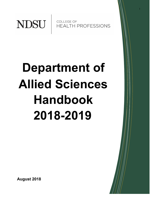

**COLLEGE OF HEALTH PROFESSIONS**  1

# **Department of Allied Sciences Handbook 2018-2019**

**August 2018**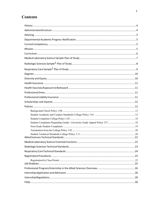## **Contents**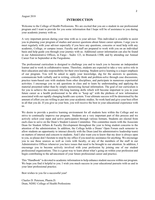#### **INTRODUCTION**

Welcome to the College of Health Professions. We are excited that you are a student in our professional program and I want to provide for you some information that I hope will be of assistance to you during your academic journey with us.

A very important person during your time with us is your advisor. This individual is available to assist you in planning your program of studies and answer questions about future career options. I urge you to meet regularly with your advisor especially if you have any questions, concerns or need help with any academic, College, or campus issues. Faculty and staff are prepared to work with you on an individual basis and help guide you through your journey with us. Additional career information can also be found in our Administrative Offices, in Fargo - Sudro 123, in Bismarck-130B, and by attending our Annual Career Fair in September at the Fargodome.

The professional curriculum is designed to challenge you and to teach you to become an independent learner and to work in collaborative teams. Therefore, students are expected to take a very active role in their education and take responsibility for their own learning. Student active learning is a major emphasis of our program. You will be asked to apply your knowledge, dig for the answers to questions, communicate both verbally and in writing, critically think and problem-solve through case discussions, practice team-based care with students from other disciplines, and participate in numerous experiential activities. I encourage you to ask questions in class and to learn by understanding and applying the material presented rather than by simply memorizing factual information. The goal of our curriculum is for you to achieve the necessary life-long learning skills which will become important to you in your future career as a health professional to be able to "keep up" with the plethora of new information associated with our rapidly changing health care system. Your ultimate success will be determined by the amount of effort you are willing to put into your academic studies. So work hard and give your best effort in all that you do. If you give us your best, you will receive the best in your educational experience with us.

We desire to provide a positive learning environment for all students here within the College and we strive to continually improve our program. Students are a very important part of this process and we actively solicit your input and active participation through various formats. Students are elected from each class to serve on the Dean's Student Liaison Committee. This committee meets with the Associate Dean for Student Affairs & Faculty Development throughout the year to bring student concerns to the attention of the administration. In addition, the College holds a Deans' Open Forum each semester to allow students an opportunity to interact directly with the Dean (and his administrative leadership team) on matters of interest and concern to students. And I also want you to know that my door is always open to you, so please don't hesitate to stop by my office if you need my assistance for anything. We encourage you to use these sources as well as visits with faculty, or any of the members of the staff in our Administrative Offices whenever you have issues that need to be brought to our attention. In addition, I encourage you to become actively involved with your profession by joining one of our student professional organizations. This is a great way to learn about what's going on within your profession and begin contributing to the advancement of your future professional career and practice.

This "Handbook" is devoted to academic information to help enhance student success within our program. We hope you find it helpful to you. I wish you much success in your educational pursuits with us and in your later professional practice.

Best wishes to you for a successful year!

Charles D. Peterson, Pharm.D. Dean, NDSU College of Health Professions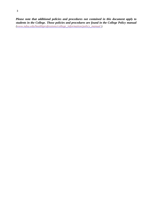*Please note that additional policies and procedures not contained in this document apply to students in the College. Those policies and procedures are found in the College Policy manual (www.ndsu.edu/healthprofessions/college\_information/policy\_manual ).*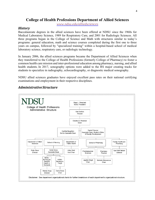## **College of Health Professions Department of Allied Sciences**

*www.ndsu.edu/alliedsciences*

## *History*

Baccalaureate degrees in the allied sciences have been offered at NDSU since the 1960s for Medical Laboratory Science, 1989 for Respiratory Care, and 2001 for Radiologic Sciences. All three programs began in the College of Science and Math with structures similar to today's programs: general education, math and science courses completed during the first one to three years on campus, followed by "specialized training" within a hospital-based school of medical laboratory science, respiratory care, or radiologic technology.

In January 2006, the allied sciences programs became the Department of Allied Sciences when they transferred to the College of Health Professions (formerly College of Pharmacy) to foster a common health care mission and inter-professional education among pharmacy, nursing, and allied health students. In 2017, sonography options were added to the RS major creating tracks for students to specialize in radiography, echocardiography, or diagnostic medical sonography.

NDSU allied sciences graduates have enjoyed excellent pass rates on their national certifying examinations and employment in their respective disciplines.



## *AdministrativeStructure*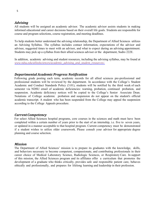## *Advising*

All students will be assigned an academic advisor. The academic advisor assists students in making informed educational and career decisions based on their overall life goals. Students are responsible for course and program selections, course registration, and meeting deadlines.

To help students better understand the advising relationship, the Department of Allied Sciences utilizes an Advising Syllabus. The syllabus includes contact information, expectations of the advisor and advisee, suggested times to meet with an advisor, and what to expect during an advising appointment. Students may pick up a syllabus from their allied sciences advisor or the department, Sudro 222E.

In addition, academic advising and student resources, including the advising syllabus, may be found at *www.ndsu.edu/alliedsciences/academic\_advising\_and\_student\_resources/.*

## *Departmental Academic Progress Notification*

Following grade posting each term, academic records for all allied sciences pre-professional and professional students will be reviewed by the department. In accordance with the College's Student Academic and Conduct Standards Policy (3.01), students will be notified by the third week of each semester via NDSU email of academic deficiencies: warning, probation, continued probation, and suspension. Academic deficiency notices will be copied to the College's Senior Associate Dean. Notations of College academic probation and suspension do not appear on the student's official academic transcript. A student who has been suspended from the College may appeal the suspension according to the College Appeals procedure.

## *CurrentCompetency*

For select Allied Sciences hospital programs, core courses in the sciences and math must have been completed within a certain number of years prior to the start of an internship, i.e. five to seven years, or updated in a manner acceptable to that hospital program. Current competency must be demonstrated if a student wishes to utilize older coursework. Please consult your advisor for appropriate degree planning and course selection.

#### *Mission*

The Department of Allied Sciences' mission is to prepare its graduates with the knowledge, skills, and behaviors necessary to become competent, compassionate, and contributing professionals in their career choice of Medical Laboratory Science, Radiologic Sciences, or Respiratory Care. In support of this mission, the Allied Sciences program and its affiliates offer a curriculum that promotes the development of a graduate who thinks critically, provides safe and responsible patient care, behaves ethically and professionally, and prepares for lifelong learning and leadership in their profession.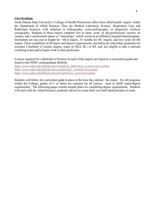## *Curriculum*

North Dakota State University's College of Health Professions offers three allied health majors within the Department of Allied Sciences. They are Medical Laboratory Science, Respiratory Care, and Radiologic Sciences, with subplans in radiography, echocardiography, or diagnostic medical sonography. Students in these majors complete two or more years of pre-professional courses on campus and a professional phase or "internship," which occurs in an affiliated, hospital-based program. Internships are one year in length for MLS majors, 15 months for RC majors, and two years for RS majors. Upon completion of all major and degree requirements, including the internship, graduates are awarded a bachelor of science degree, major in MLS, RC, or RS, and are eligible to take a national certifying exam and/or begin work in their profession.

Courses required for a Bachelor of Science in each of the majors are listed on a curriculum guide and found in the NDSU undergraduate Bulletin:

*https://www.ndsu.edu/alliedsciences/medical\_laboratory\_science/curriculum/ https://www.ndsu.edu/alliedsciences/radiologic\_science/curriculum/ https://www.ndsu.edu/alliedsciences/respiratory\_care/curriculum/*

Students will follow the curriculum guide in place at the time they declare the major. For all programs within the College, grades of C or better are required for all courses used to fulfill major/degree requirements. The following pages contain sample plans for completing degree requirements. Students will meet with the Allied Sciences academic advisor to create their own individualized plan of study.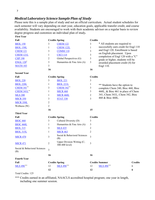## *Medical Laboratory Science Sample Plan of Study*

Please note this is a sample plan of study and not an official curriculum. Actual student schedules for each semester will vary depending on start year, education goals, applicable transfer credit, and course availability. Students are encouraged to work with their academic advisor on a regular basis to review degree progress and customize an individual plan of study*.*

| <b>First Year</b>                   |                |                                              |                |                                                                                                                                               |                |
|-------------------------------------|----------------|----------------------------------------------|----------------|-----------------------------------------------------------------------------------------------------------------------------------------------|----------------|
| Fall                                |                | <b>Credits Spring</b>                        | <b>Credits</b> |                                                                                                                                               |                |
| <b>BIOL 150</b>                     | $\mathfrak{Z}$ | <b>CHEM 122</b>                              | 3              | * All students are required to                                                                                                                |                |
| <b>BIOL 150L</b>                    | 1              | <b>CHEM 122L</b>                             | $\mathbf{1}$   | successfully earn credit for Engl 110<br>and Engl 120. Enrollment is based<br>on English placement. Upon<br>completion of Engl 120 with a "C" |                |
| <b>CHEM 121</b>                     | 3              | <b>COMM 110</b>                              | 3              |                                                                                                                                               |                |
| <b>CHEM 121L</b>                    | 1              | <b>CSCI 114</b>                              | 3              |                                                                                                                                               |                |
| <b>CHP 190</b>                      | 2              | Global Perspectives (G)                      | 3              | grade or higher, students will be                                                                                                             |                |
| <b>ENGL 120</b> <sup>*</sup>        | $\mathfrak{Z}$ | Humanities & Fine Arts (A)                   | 3              | awarded placement credit (4) for                                                                                                              |                |
| <b>MATH 103</b>                     | 3              |                                              |                | Engl 110.                                                                                                                                     |                |
|                                     | 16             |                                              | 16             |                                                                                                                                               |                |
| <b>Second Year</b>                  |                |                                              |                |                                                                                                                                               |                |
| Fall                                |                | <b>Credits Spring</b>                        | <b>Credits</b> |                                                                                                                                               |                |
| <b>BIOL 220</b>                     | $\mathfrak{Z}$ | <b>BIOL 221</b>                              | 3              |                                                                                                                                               |                |
| <b>BIOL 220L</b>                    | 1              | <b>BIOL 221L</b>                             | 1              | ** Students have the option to                                                                                                                |                |
| <b>CHEM 341*</b>                    | 3              | <b>CHEM 342**</b>                            | 3              | complete Chem 240, Bioc 460, Bioc                                                                                                             |                |
| <b>CHEM 341L**</b>                  | 1              | <b>MICR 460</b>                              | 3              | 460L, & Bioc 461 in place of Chem                                                                                                             |                |
| <b>MLS 200</b>                      | 1              | <b>MICR 460L</b>                             | $\overline{2}$ | 341, Chem 341L, Chem 342, Bioc                                                                                                                |                |
| <b>MICR 350</b>                     | 3              | <b>STAT 330</b>                              | $\overline{3}$ | 460 & Bioc 460L.                                                                                                                              |                |
| <b>MICR 350L</b>                    | $\overline{c}$ |                                              |                |                                                                                                                                               |                |
| Wellness (W)                        | $\overline{c}$ |                                              |                |                                                                                                                                               |                |
|                                     | 16             |                                              | 15             |                                                                                                                                               |                |
| <b>Third Year</b>                   |                |                                              |                |                                                                                                                                               |                |
| Fall                                |                | <b>Credits Spring</b>                        | <b>Credits</b> |                                                                                                                                               |                |
| <b>BIOC 460</b>                     | 3              | Cultural Diversity (D)                       | 3              |                                                                                                                                               |                |
| <b>BIOC 460L</b>                    | 1              | Humanities & Fine Arts (A)                   | 3              |                                                                                                                                               |                |
| <b>BIOL 315</b>                     | 3              | <b>MLS 435</b>                               | 2              |                                                                                                                                               |                |
| <b>BIOL 315L</b>                    | $\mathbf{1}$   | <b>MICR 463</b>                              | $\overline{2}$ |                                                                                                                                               |                |
| <b>MICR 470</b>                     | 3              | Social & Behavioral Sciences<br>(B)          | 3              |                                                                                                                                               |                |
| <b>MICR 471</b>                     | 2              | Upper Division Writing (C;<br>300-400 level) | 3              |                                                                                                                                               |                |
| Social & Behavioral Sciences<br>(B) | 3              |                                              |                |                                                                                                                                               |                |
|                                     | 16             |                                              | 16             |                                                                                                                                               |                |
| <b>Fourth Year</b>                  |                |                                              |                |                                                                                                                                               |                |
| Fall                                |                | <b>Credits Spring</b>                        |                | <b>Credits Summer</b>                                                                                                                         | <b>Credits</b> |
| MLS 496***                          | 12             | MLS 496**                                    | 12             | MLS 496**<br>6                                                                                                                                |                |
|                                     | 12             |                                              | 12             | 6                                                                                                                                             |                |

Total Credits: 125

\*\*\* Credits earned in an affiliated, NAACLS accredited hospital program; one year in length, including one summer session.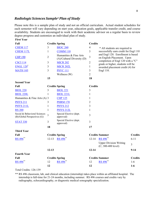## *Radiologic Sciences Sample1 Plan of Study*

**First Year** 

Please note this is a sample plan of study and not an official curriculum. Actual student schedules for each semester will vary depending on start year, education goals, applicable transfer credit, and course availability. Students are encouraged to work with their academic advisor on a regular basis to review degree progress and customize an individual plan of study.

| Fall                                                        | <b>Credits Spring</b> |                                                      | <b>Credits</b> |                                                                        |                |
|-------------------------------------------------------------|-----------------------|------------------------------------------------------|----------------|------------------------------------------------------------------------|----------------|
| <b>CHEM 117</b>                                             | 3                     | <b>BIOC 260</b>                                      | $\overline{4}$ | * All students are required to                                         |                |
| CHEM 117L                                                   | $\mathbf{1}$          | <b>COMM 110</b>                                      | 3              | successfully earn credit for Engl 110                                  |                |
| <b>CHP 190</b>                                              | $\overline{2}$        | Humanities & Fine Arts<br>(A)/Cultural Diversity (D) | $\mathfrak{Z}$ | and Engl 120. Enrollment is based<br>on English Placement. Upon        |                |
| <b>CSCI 114</b>                                             | 3                     | <b>MICR 202</b>                                      | $\overline{2}$ | completion of Engl 120 with a "C"<br>grade or higher, students will be |                |
| <b>ENGL 120<sup>*</sup></b>                                 | 3                     | <b>MICR 202L</b>                                     | $\mathbf{1}$   | awarded placement credit (4) for                                       |                |
| <b>MATH 105</b>                                             | 3                     | <b>PSYC 111</b>                                      | 3              | Engl 110.                                                              |                |
|                                                             |                       | Wellness (W)                                         | $\overline{2}$ |                                                                        |                |
|                                                             | 15                    |                                                      | 18             |                                                                        |                |
| <b>Second Year</b>                                          |                       |                                                      |                |                                                                        |                |
| Fall                                                        | <b>Credits Spring</b> |                                                      | <b>Credits</b> |                                                                        |                |
| <b>BIOL 220</b>                                             | 3                     | <b>BIOL 221</b>                                      | 3              |                                                                        |                |
| <b>BIOL 220L</b>                                            | 1                     | <b>BIOL 221L</b>                                     | 1              |                                                                        |                |
| Humanities & Fine Arts (A) 3                                |                       | <b>CHP 125</b>                                       | 1              |                                                                        |                |
| <b>PHYS 211</b>                                             | 3                     | <b>PHRM 170</b>                                      | $\overline{2}$ |                                                                        |                |
| <b>PHYS 211L</b>                                            | 1                     | <b>PHYS 212</b>                                      | 3              |                                                                        |                |
| <b>RS 200</b>                                               | $\mathbf{1}$          | <b>PHYS 212L</b>                                     | 1              |                                                                        |                |
| Social & Behavioral Sciences<br>(B)/Global Perspectives (G) | $\overline{3}$        | Special Elective (dept.<br>approved)                 | 3              |                                                                        |                |
| <b>STAT 330</b>                                             | 3                     | Special Elective (dept.<br>approved)                 | 3              |                                                                        |                |
|                                                             | 18                    |                                                      | 17             |                                                                        |                |
| <b>Third Year</b>                                           |                       |                                                      |                |                                                                        |                |
| Fall                                                        | <b>Credits Spring</b> |                                                      |                | <b>Credits Summer</b>                                                  | <b>Credits</b> |
| RS 496**                                                    | $12 - 13$             | RS 496 <sup>**</sup>                                 | $12 - 14$      | RS 496**                                                               | $6 - 11$       |
|                                                             |                       |                                                      |                | <b>Upper Division Writing</b><br>$(C; 300-400$ level)                  | $\overline{3}$ |
|                                                             | $12 - 13$             |                                                      | $12 - 14$      |                                                                        | $9 - 14$       |
| <b>Fourth Year</b>                                          |                       |                                                      |                |                                                                        |                |
| Fall                                                        | <b>Credits Spring</b> |                                                      |                | <b>Credits Summer</b>                                                  | <b>Credits</b> |
| RS 496**                                                    | 12                    | RS 496**                                             | 12             | RS 496**                                                               | $1-6$          |
|                                                             | 12                    |                                                      | 12             |                                                                        | $1-6$          |

Total Credits: 126-139

\*\* RS 496 classroom, lab, and clinical education (internship) takes place within an affiliated hospital. The internship is full-time for 21-24 months, including summer. RS 496 courses and credits vary by radiography, echocardiography, or diagnostic medical sonography specialization.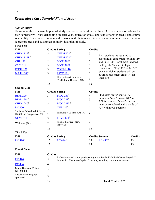## *Respiratory Care Sample1 Plan of Study*

#### *Plan of Study*

**First Year** 

Special Elective (dept.

Special Elective (dept. 3

Please note this is a sample plan of study and not an official curriculum. Actual student schedules for each semester will vary depending on start year, education goals, applicable transfer credit, and course availability. Students are encouraged to work with their academic advisor on a regular basis to review degree progress and customize an individual plan of study.

| Fall                                                        | <b>Credits Spring</b> |                                                      | <b>Credits</b> |                                                                                                                                                        |                |
|-------------------------------------------------------------|-----------------------|------------------------------------------------------|----------------|--------------------------------------------------------------------------------------------------------------------------------------------------------|----------------|
| CHEM $121$ <sup>†</sup>                                     | 3                     | CHEM $122^{\dagger}$                                 | 3              | * All students are required to                                                                                                                         |                |
| CHEM 121L <sup>†</sup>                                      | 1                     | $CHEM$ 122 $L^{\dagger}$                             | $\mathbf{1}$   | successfully earn credit for Engl 110                                                                                                                  |                |
| <b>CHP 190</b>                                              | 2                     | $MICR$ 202 <sup>†</sup>                              | 2              | and Engl 120. Enrollment is based                                                                                                                      |                |
| <b>CSCI 114</b>                                             | 3                     | MICR 202L <sup>†</sup>                               | $\mathbf{1}$   | on English Placement. Upon                                                                                                                             |                |
| <b>ENGL 120<sup>*</sup></b>                                 | 3                     | <b>COMM 110</b>                                      | 3              | completion of Engl 120 with a "C"                                                                                                                      |                |
| <b>MATH 103</b> <sup>†</sup>                                | 3                     | <b>PSYC 111</b>                                      | 3              | grade or higher, students will be<br>awarded placement credit (4) for                                                                                  |                |
|                                                             |                       | Humanities & Fine Arts<br>(A)/Cultural Diversity (D) | 3              | Engl 110.                                                                                                                                              |                |
|                                                             | 15                    |                                                      | 16             |                                                                                                                                                        |                |
| <b>Second Year</b>                                          |                       |                                                      |                |                                                                                                                                                        |                |
| Fall                                                        | <b>Credits Spring</b> |                                                      | <b>Credits</b> |                                                                                                                                                        |                |
| <b>BIOL</b> 220 <sup>t</sup>                                | 3                     | $BIOC 260^{\dagger}$                                 | $\overline{4}$ | <sup>†</sup> Indicates "core" course. A<br>minimum "core" course GPA of                                                                                |                |
| <b>BIOL 220L</b>                                            | 1                     | $BIOL 221$ <sup>†</sup>                              | 3              | 2.50 is required. "Core" courses                                                                                                                       |                |
| <b>CHEM 240<sup>t</sup></b>                                 | 3                     | $BIOL 221L^{\dagger}$                                | $\mathbf{1}$   | must be completed with a grade of                                                                                                                      |                |
| <b>RC 200</b>                                               | $\mathbf{1}$          | CHP $125^{\dagger}$                                  | $\mathbf{1}$   | "C" within two attempts.                                                                                                                               |                |
| Social & Behavioral Sciences<br>(B)/Global Perspectives (G) | 3                     | Humanities & Fine Arts (A)                           | 3              |                                                                                                                                                        |                |
| <b>STAT 330</b>                                             | 3                     | $PHYS 120$ <sup>†</sup>                              | 3              |                                                                                                                                                        |                |
| Wellness (W)                                                | $\overline{2}$        | Special Elective (dept.<br>approved)                 | 3              |                                                                                                                                                        |                |
|                                                             | 16                    |                                                      | 18             |                                                                                                                                                        |                |
| <b>Third Year</b>                                           |                       |                                                      |                |                                                                                                                                                        |                |
| Fall                                                        | <b>Credits Spring</b> |                                                      |                | <b>Credits Summer</b>                                                                                                                                  | <b>Credits</b> |
| RC 496**                                                    | 15                    | RC 496**                                             | 15             | RC 496**<br>13                                                                                                                                         |                |
|                                                             | 15                    |                                                      | 15             | 13                                                                                                                                                     |                |
| <b>Fourth Year</b>                                          |                       |                                                      |                |                                                                                                                                                        |                |
| Fall                                                        | <b>Credits</b>        |                                                      |                |                                                                                                                                                        |                |
| $RC496*$                                                    | 8                     |                                                      |                | ** Credits earned while participating in the Sanford Medical Center Fargo RC<br>internship. The internship is 15 months, including one summer session. |                |
| RC 494**                                                    | 4                     |                                                      |                |                                                                                                                                                        |                |
| <b>Upper Division Writing</b><br>$(C; 300-400)$             | 3                     |                                                      |                |                                                                                                                                                        |                |

**18 Total Credits: 126**

9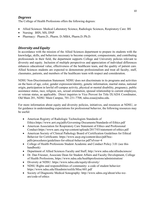## *Degrees*

The College of Health Professions offers the following degrees:

- Allied Sciences: Medical Laboratory Science, Radiologic Sciences, Respiratory Care: BS
- Nursing: BSN, MS, DNP
- Pharmacy: Pharm.D., Pharm. D./MBA, Pharm.D./Ph.D.

## *Diversity and Equity*

In accordance with the mission of the Allied Sciences department to prepare its students with the knowledge, skills, and behaviors necessary to become competent, compassionate, and contributing professionals in their field, the department supports College and University policies relevant to diversity and equity. Inclusion of multiple perspectives and appreciation of individual differences enhances educational value, effectiveness of the healthcare team, and the quality of patient care. Allied Sciences students are expected to demonstrate professionalism and treat all faculty, staff, classmates, patients, and members of the healthcare team with respect and consideration.

NDSU Non-Discrimination Statement: NDSU does not discriminate in its programs and activities on the basis of age, color, gender expression/identity, genetic information, marital status, national origin, participation in lawful off-campus activity, physical or mental disability, pregnancy, public assistance status, race, religion, sex, sexual orientation, spousal relationship to current employee, or veteran status, as applicable. Direct inquiries to Vice Provost for Title IX/ADA Coordinator, Old Main 201, NDSU Main Campus, 701-231-7708, ndsu.eoaa@ndsu.edu.

For more information about equity and diversity policies, initiatives, and resources at NDSU, or for guidance in understanding expectations for professional behavior, the following resources may be useful:

- American Registry of Radiologic Technologists Standards of Ethics:https://www.arrt.org/pdfs/Governing-Documents/Standards-of-Ethics.pdf
- American Association for Respiratory Care Statement of Ethics and Professional Conduct:https://www.aarc.org/wp-content/uploads/2017/03/statement-of-ethics.pdf
- American Society of Clinical Pathology Board of Certification Guidelines for Ethical Behavior for Certificants: https://www.ascp.org/content/docs/pdf/bocpdfs/procedures/guidelines-for-ethical-behavior.pdf?sfvrsn=4
- College of Health Professions Student Academic and Conduct Policy 3.01 (see this handbook)
- Department of Allied Sciences Faculty and Staff, http://www.ndsu.edu/alliedsciences/
- Dr. Dan Friesner, Associate Dean for Student Affairs and Faculty Development, College of Health Professions, https://www.ndsu.edu/healthprofessions/administration/
- Diversity at NDSU: https://www.ndsu.edu/equity/diversity/
- NDSU Rights and responsibilities of community: a code of student behavior: https://www.ndsu.edu/fileadmin/reslife/Misc/601.pdf
- Society of Diagnostic Medical Sonography: http://www.sdms.org/about/who-weare/code-of-ethics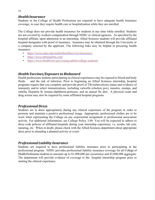## *HealthInsurance*

Students in the College of Health Professions are required to have adequate health insurance coverage, in case they require health care or hospitalization while they are enrolled.

The College does not provide health insurance for students at any time while enrolled. Students are not covered by workers compensation through NDSU or clinical agencies. As specified by the hospital affiliate, upon admission to an internship, Allied Sciences students will provide affiliated hospital designates with proof of insurance. Insurance may be obtained through the University or a company selected by the applicant. The following links may be helpful in procuring health insurance:

- *https://www.ndsu.edu/studenthealthservice/insurance/*
- *https://www.hthstudents.com/*
- *https://www.healthcare.gov/young-adults/college-students/*

## *Health Vaccines/Exposure to Biohazard*

Health professions students participating in clinical experiences may be exposed to blood and body fluids and the risk of infection. Prior to beginning an Allied Sciences internship, hospital programs require that you complete and provide proof of TB (tuberculosis) status and evidence of immunity and/or select immunizations, including varicella (chicken pox), measles, mumps, and rubella, Hepatitis B, tetanus-diphtheria-pertussis, and an annual flu shot. A physical exam and drug screen may also be required by some affiliated hospital programs.

## *ProfessionalDress*

Students are to dress appropriately during any clinical experience of the program in order to promote and maintain a positive professional image. Appropriate, professional clothes are to be worn when representing the College on any experiential assignment or professional association activity. For additional information, see College Policy 3.09. You will be expected to adhere to dress code policies of affiliated hospitals during your internship experience, i.e. scrubs, lab coat, nametag, etc. When in doubt, please check with the Allied Sciences department about appropriate dress prior to attending a planned activity or event.

## *Professional Liability Insurance*

Students are required to have professional liability insurance prior to participating in the professional program. NDSU provides professional liability insurance coverage for all College of Health Professions students in amounts up to \$1,000,000 per occurrence and \$5,000,000 aggregate. The department will provide evidence of coverage to the hospital internship program prior to starting the clinical experience.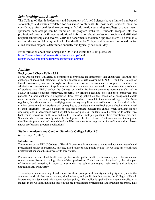#### 12

#### *Scholarships and Awards*

The College of Health Professions and Department of Allied Sciences have a limited number of scholarships and awards available for assistance to students. In most cases, students must be considered professional-level in order to qualify. Information pertaining to college- or departmentsponsored scholarships can be found on the program websites. Students accepted into the professional program will receive additional information about professional society and affiliated hospital scholarships and awards. CHP and department scholarship applications will be available starting the second Monday in April. The deadline for College and department scholarships for allied sciences majors is determined annually and typically occurs in May.

For information about scholarships at NDSU and within the CHP, please see https://www.ndsu.edu/onestop/finaid/scholarships/ and https://www.ndsu.edu/healthprofessions/scholarships/.

#### *Policies*

#### **Background Check Policy 3.08**

North Dakota State University is committed to providing an atmosphere that encourages learning, the exchange of ideas and interacting with one another in a safe environment. NDSU (and the College of Health Professions) reserves the right to refuse admission or re-enrollment or to place conditions on admission or re-enrollment of applicants and former students, and suspend or terminate the enrollment of students who NDSU and/or the College of Health Professions determine represent a safety risk to NDSU or College students, employees, property, or affiliated teaching sites and their employees and patients. An individual who is disqualified from having patient contact based on a background check may be unable to meet program requirements and/or to complete their intended degree. The State regulatory boards and national certifying agencies may deny licensure/certification to an individual with a criminal background. All students will be required to complete a criminal background check as determined by their discipline; for Allied Sciences, students complete background checks when applying for the internship and in accordance with hospital admission policies. Students may be required to obtain two background checks (a multi-state and an FBI check) at multiple points in their educational program. Students who do not comply with the background checks, release of information, and the required deadlines for procuring background checks will be prevented from registering for and/or attending classes and/or professional program application(s).

#### **Student Academic and Conduct Standards College Policy 3.01**

(revised Apr. 29, 2015)

#### **Introduction**

The mission of the NDSU College of Health Professions is to educate students and advance research and professional service in pharmacy, nursing, allied sciences, and public health. The College has established professionalism and ethics as two of its core values.

Pharmacists, nurses, allied health care professionals, public health professionals, and pharmaceutical scientists must live up to the high ideals of their profession. Their lives must be guided by the principles of honesty and integrity, in order to ensure that the public can regard their words and actions as unquestionably trustworthy.

To develop an understanding of and respect for these principles of honesty and integrity as applied to the academic work of pharmacy, nursing, allied science, and public health students, the College of Health Professions has developed this student conduct policy. This policy is applicable to anyone enrolled as a student in the College, including those in the pre-professional, professional, and graduate programs. This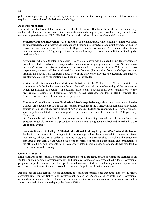policy also applies to any student taking a course for credit in the College. Acceptance of this policy is required as a condition of admission to the College.

#### **Academic Standards**

The academic standards of the College of Health Professions differ from those of the University. Any student who fails to meet or exceed the University standards may be placed on University probation or suspension (see the current NDSU Bulletin for university information on academic deficiencies).

**Semester Grade Point Average (All Students):** To be in good academic standing within the College, all undergraduate and professional students shall maintain a semester grade point average of 2.00 or above for each semester enrolled in the College of Health Professions. All graduate students are expected to maintain a 3.0 grade point average as well as any other academic policies outlined by the graduate school.

Any student who fails to attain a semester GPA of 2.0 or above may be placed on College warning or probation. Students who have been placed on academic warning or probation for two (2) consecutive or three (3) non-consecutive semesters shall be suspended from enrollment in the College. After two suspensions, students will be terminated from the College. (Termination from the College does not prohibit the student from registering elsewhere in the University provided the academic standards of the alternate college of registration have been met or exceeded.)

A student who is suspended and desires readmission into the College must file a request for readmittance with the Senior Associate Dean at least 60 days prior to the beginning of the semester in which readmission is sought. In addition, professional students must seek readmission to the professional programs in Pharmacy, Nursing, Allied Sciences, and Public Health through the Admissions Committee of their respective program.

**Minimum Grade Requirement (Professional Students):** To be in good academic standing within the College, all students enrolled in the professional programs of the College must complete all required courses within the College with a grade of "C" or above. Students are encouraged to refer to programspecific policies related to minimum grade requirements which can be found in the College Policy Manual at:

http://www.ndsu.edu/healthprofessions/college information/policy manual/. Graduate students are expected to uphold policies and procedures consistent with the graduate school and to maintain a 3.0 grade point average.

**Students Enrolled in College Affiliated Educational Training Programs (Professional Students):** To be in good academic standing within the College, all students enrolled in College affiliated internships, clinical, or experiential training programs are also required to uphold the academic standards of that affiliate and will be subject to the terms of probation, suspension, and termination of the affiliated program. Students failing to meet affiliated program academic standards may also lead to termination from the College.

#### **Conduct Standards**

High standards of professional conduct are expected from all students, both to facilitate the learning of all students and to promote professional values. Individuals are expected to represent the College, professional program, or profession in a positive, professional manner. Students conducting clinical experiences, rotations, and/or internships must also uphold the specific policies of their clinical site.

All students are held responsible for exhibiting the following professional attributes: honesty, integrity, accountability, confidentiality, and professional demeanor. Academic dishonesty and professional misconduct are unacceptable. If there is doubt about whether or not academic or professional conduct is appropriate, individuals should query the Dean's Office.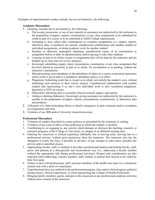Examples of unprofessional conduct include, but are not limited to, the following:

#### **Academic Misconduct:**

- 1. Cheating, includes but is not limited to, the following:
	- a. The receipt, possession, or use of any material or assistance not authorized by the instructor in the preparation of papers, reports, examinations, or any class assignments to be submitted for credit as part of a course or to be submitted to fulfill College requirements.
	- b. Arranging to have others take examinations or complete assignments (i.e., papers, reports, laboratory data, or products) for oneself, unauthorized collaborating with another student on individual assignments, or doing academic work for another student.
	- c. Stealing or otherwise improperly obtaining, unauthorized copies of an examination or assignment before or after its administration, and/or passing it onto other students.
	- d. Copying, in part or in whole, exams or assignments that will be kept by the instructor and are handed out in class only for review purposes.
	- e. Knowingly submitting a paper, report, presentation, examination, or any class assignment that has been altered or corrected, in part or in whole, for reevaluation or re-grading, without the instructor's permission.
	- f. Misrepresenting your attendance or the attendance of others in a course or practical experience where credit is given and/or a mandatory attendance policy is in effect.
	- g. Plagiarism: Submitting work that is, in part or in whole, not entirely the student's own, without attributing such portions to their correct sources. Unauthorized collaboration with another student and representing it as one's own individual work is also considered plagiarism. Ignorance is NOT an excuse.
	- h. Fabrication: falsifying data in scientific/clinical research, papers, and reports.
	- i. Aiding or abetting dishonesty: Knowingly giving assistance not authorized by the instructor to another in the preparation of papers, reports, presentations, examinations, or laboratory data and products.
- 2. Utilization of a false/misleading illness or family emergency to gain extension and/or exemption on assignments and tests.
- 3. Violation of any IRB and/or University research processes.

#### **Professional Misconduct**

- 1. Violation of conduct described in course policies or articulated by the instructor in writing.
- 2. Violation of any code of ethics of the profession in which the student is enrolled.
- 3. Contributing to, or engaging in, any activity which disrupts or obstructs the teaching, research, or outreach programs of the College or University, on campus or at affiliated training sites.
- 4. Entering the classroom or clinical experience habitually late or leaving early, arriving late to a professional activity, without prior permission from the instructor. The instructor also has the obligation to notify the class, if possible in advance, of any changes in class times, possible late arrival, and/or cancelled classes.
- 5. Approaching faculty, staff, or students in less than a professional manner and treating faculty, staff, peers, and patients in a disrespectful and inconsiderate way (i.e., addressing a faculty member without the appropriate title during professional activities). Respect and consideration are also expected when addressing a faculty member, staff, student, or patient that chooses to be called by their first name.
- 6. Failure to deal with professional, staff, and peer members of the health care team in a considerate manner and with a spirit of cooperation.
- 7. Unprofessional dress (as outlined in the professional program, class and/or clinical agency policies) during classes, clinical experiences, or when representing the College of Health Professions.
- 8. Bringing family members, guests, and pets to the classroom or any professional academic activities without prior consent of the instructor.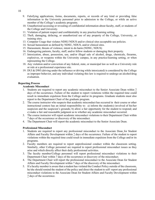- 9. Falsifying applications, forms, documents, reports, or records of any kind or providing false information to the University personnel prior to admission to the College, or while an active member of the College's academic programs.
- 10. Unauthorized accessing or revealing of confidential information about faculty, staff, or students of the College and University.
- 11. Violation of patient respect and confidentiality in any practice/learning setting.
- 12. Theft, damaging, defacing, or unauthorized use of any property of the College, University, or training sites.
- 13. Computer Usage that violates NDSU/NDUS and/or clinical sites acceptable use policies.
- 14. Sexual harassment as defined by NDSU, NDUS, and/or clinical sites.
- 15. Harassment, threats of violence, intent to do harm (NDSU, NDUS)
- 16. Endangering patients, faculty, staff, and/or fellow students or damaging their property.
- 17. Intoxication, abuse, possession, use, and/or illegal sale of alcohol, drugs, chemicals, firearms, explosives, or weapons within the University campus, in any practice/learning setting, or when representing the College.
- 18. Any violation and/or conviction of any federal, state, or municipal law as well as a University rule or rule at a professional experience site.
- 19. DUI & DWI (driving under the influence or driving while intoxicated) is considered by the College as improper behavior, and any individual violating this law is required to undergo an alcohol/drug evaluation.

#### **Reporting Process**

#### **Academic Misconduct**

- 1. Students are required to report any academic misconduct to the Senior Associate Dean within 7 days of the occurrence. Failure of the student to report violations within the required time could result in immediate expulsion from the College and/or its programs. Graduate students must also report to the Department Chair of the graduate program.
- 2. The course instructor who suspects that academic misconduct has occurred in their course or other instructional context has an initial responsibility to: a) inform the student(s) involved of his/her suspicion and the suspicion's grounds; b) allow a fair opportunity for the student to respond; and c) make a fair and reasonable judgment as to whether any academic misconduct occurred.
- 3. The course instructor will report academic misconduct violations to their Department Chair within 7 days of the occurrence or discovery of the misconduct.
- 4. The Department Chair will report the academic misconduct to the Senior Associate Dean.

#### **Professional Misconduct**

- 1. Students are required to report any professional misconduct to the Associate Dean for Student Affairs and Faculty Development within 7 days of the occurrence. Failure of the student to report violations within the required time could result in immediate expulsion from the College and/or its programs.
- 2. Faculty members are required to report unprofessional conduct within the classroom setting. Similarly, other College personnel are required to report professional misconduct issues as they arise and which directly affect their daily professional activities.
- 3. The faculty member/College personnel will report professional misconduct violations to their Department Chair within 7 days of the occurrence or discovery of the misconduct.
- 4. The Department Chair will report the professional misconduct to the Associate Dean for Student Affairs and Faculty Development within 7 days of the discovery of the misconduct.
- 5. If a faculty member is aware that a student has violated the Conduct Policy outside of the classroom, he/she should remind the student of the policy and direct the student to self- report any professional misconduct violations to the Associate Dean for Student Affairs and Faculty Development within 7 days of the occurrence.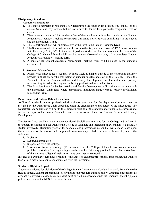#### **Disciplinary Sanctions**

#### **Academic Misconduct**

- 1. The course instructor is responsible for determining the sanction for academic misconduct in the course. Sanctions may include, but are not limited to, failure for a particular assignment, test, or course.
- 2. The course instructor will inform the student of the sanction in writing by completing the Student Academic Misconduct Tracking Form as per University Policy 335 and submitting it to the student and the Department Chair.
- 3. The Department Chair will submit a copy of the form to the Senior Associate Dean.
- 4. The Senior Associate Dean will submit the form to the Registrar and Provost/VPAA in accordance with University Policy 335. In the case of graduate student academic misconduct, the Dean of the College of Graduate & Interdisciplinary Studies must also receive a copy of the completed Student Academic Misconduct Tracking form.
- 5. A copy of the Student Academic Misconduct Tracking Form will be placed in the student's academic file

#### **Professional Misconduct**

- 1. Professional misconduct issues may be more likely to happen outside of the classroom and have broader implications for the well-being of students, faculty, and staff in the College. Hence, the Associate Dean for Student Affairs and Faculty Development has the initial and primary responsibility for administering and enforcing professional misconduct issues.
- 2. The Associate Dean for Student Affairs and Faculty Development will work collaboratively with the Department Chair (and where appropriate, individual instructors) to resolve professional misconduct issues.

#### **Department and College Related Sanctions**

Additional academic and/or professional disciplinary sanctions for the department/program may be assigned by the Department Chair depending upon the circumstances and nature of the misconduct. The Department Administrator will notify the student in writing of the sanction and rights to due process and forward a copy to the Senior Associate Dean &/or Associate Dean for Student Affairs and Faculty Development.

The Senior Associate Dean may impose additional disciplinary sanctions for the **College** and will notify the student in writing and the Dean of the College of Graduate and Interdisciplinary Studies (if a graduate student involved). Disciplinary action for academic and professional misconduct will depend based upon the seriousness of the misconduct. In general, sanctions may include, but are not limited to, any of the following:

- 1. Probation
- 2. Supervised probation
- 3. Suspension from the College.
- 4. Termination from the College. (Termination from the College of Health Professions does not prohibit the student from registering elsewhere in the University provided the academic standards of the alternate college of registration have been met or exceeded.)

In cases of particularly egregious or multiple instances of academic/professional misconduct, the Dean of the College may also recommend expulsion from the university.

#### **Student's Right to Appeal**

Students sanctioned for violations of the College Student Academic and Conduct Standards Policy have the right to appeal. Student appeals must follow the appeal procedure outlined below. Graduate student appeals of sanctions involving academic misconduct must be filed in accordance with the Graduate Student Appeals policy described in the NDSU Graduate Bulletin.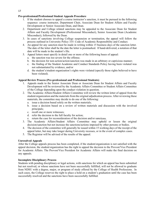#### **Pre-professional/Professional Student Appeals Procedure**

- 1. If the student chooses to appeal a course instructor's sanction, it must be pursued in the following sequence: course instructor, Department Chair, Associate Dean for Student Affairs and Faculty Development or Senior Associate Dean, and Dean.
- 2. Department and College related sanctions may be appealed to the Associate Dean for Student Affairs and Faculty Development (Professional Misconduct), Senior Associate Dean (Academic Misconduct), followed by the Dean.
- 3. In cases of sanctions involving College suspension or termination, the appeal will follow the process outlined in University Policy 335: Code of Academic Responsibility and Conduct.
- 4. An appeal for any sanction must be made in writing within 15 business days of the sanction letter. The date of the letter shall be the date the letter is postmarked. If hand-delivered, a notation of that date will be made in the student's file.
- 5. Appeal letters must specify in detail one or more of the following bases of appeal:
	- a. the sanction was too severe for the offense;
	- b. the decision for non-action/action/sanction was made in an arbitrary or capricious manner;
	- c. the finding of the Student Academic and Conduct Standards Policy having been violated was not substantiated by evidence, and/or
	- d. the student's/student organization's rights were violated (specify those rights believed to have been violated).

#### **Appeal Review Process (Pre-professional and Professional Students)**

- 1. Appeals made to the Senior Associate Dean or Associate Dean for Student Affairs and Faculty Development will be reviewed by the Academic Affairs Committee or Student Affairs Committee of the College depending upon the conduct violation in question.
- 2. The Academic Affairs/Student Affairs Committee will review the written letter of appeal from the student/organization and the materials from the original adjudication process. After reviewing these materials, the committee may decide to do one of the following:
	- a. issue a decision based solely on the written materials;
	- b. issue a decision based on a review of written materials and discussion with the involved principals;
	- c. recall one or more witnesses;
	- d. refer the decision to the full faculty for action;
	- e. return the case for reconsideration of the decision and/or sanctions.
- 3. The Academic Affairs/Student Affairs Committee may uphold or lessen the original decision/sanction but not increase the sanctions/actions imposed by other persons or bodies.
- 4. The decision of the committee will generally be issued within 15 working days of the receipt of the appeal letter, but may take longer during University recesses, or in the event of complex cases.
- 5. The Registrar will be advised of the results of the appeal.

#### **Unresolved Appeals**

After the College appeals process has been completed, if the student/organization is not satisfied with the appeal decision, the student/organization has the right to appeal the decision to the Provost/Vice President for Academic Affairs. The Provost/Vice President for Academic Affairs will make the final decision on any appeals.

#### **Incomplete Disciplinary Process**

Students with pending disciplinary or legal actions, with sanctions for which an appeal has been submitted but not resolved, or whose sanctions have not been successfully fulfilled, will not be allowed to graduate from NDSU with a degree, major, or program of study offered by the College of Health Professions. In such cases, the College reserves the right to place a hold on a student's graduation until the case has been successfully resolved and the sanctions have been successfully fulfilled.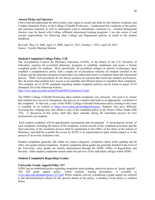#### **Annual Pledge and Signature**

I have read and understand the above policy and I agree to accept and abide by this Student Academic and Conduct Standards Policy of the College of Health Professions. I understand that violations of this policy and sanctions imposed, as well as information used to substantiate violations (i.e., criminal background checks), may be shared with College affiliated educational training programs. I am also aware of and assume responsibility for following other College and Department policies as stated in the student handbook.

Revised: May 14, 2008, April 15, 2009, April 21, 2011, October 7, 2013, April 29, 2015 Source: Faculty Meeting Minutes

#### **Student Complaint College Policy 3.28**

The Accreditation Council for Pharmacy Education (ACPE), at the behest of the U.S. Secretary of Education, requires all accredited pharmacy programs to establish, implement and assess a formal complaint policy for students. More specifically, all accredited colleges or schools of pharmacy must establish a comprehensive policy with a simple set of procedures whereby all students enrolled in the College (and the pharmacy program in particular) can submit and resolve a complaint about the educational process. While such procedures do not always produce an outcome that meets the student's preferences, they do ensure that students have access to an equitable and efficient means to remediate their complaints. The complete set of ACPE standards regarding student complaint policies can be found on pages 38-39 (Standard 20) of the following website:

http://www.acpe-accredit.org/pdf/FinalS2007Guidelines2.0.pdf.

The NDSU College of Health Professions takes student complaints very seriously. Our goal is to ensure that students have access to transparent, due process in a manner that leads to an appropriate resolution of the complaint. To that end, a copy of the NDSU College of Health Professions policy relating to this issue is available on its website at https://www.ndsu.edu/healthprofessions/. Students who have difficulty accessing this webpage may also obtain a copy of the complaint policy in the Dean's Office (Sudro Hall 123). A discussion of this policy shall take place annually during the orientation process for first professional year students.

 Each student complaint will be appropriately documented and investigated. A chronological record of each complaint, including the nature of the complaint, written records of the complaint procedure and the final outcomes of the resolution process shall be maintained in the Office of the Dean of the School of Pharmacy, and shall be available for review by ACPE or its representatives upon written request or in the process of an on-site evaluation visit.

Student complaints generally fall within two major categories: complaints about unfair grading and all other, non-grade-related complaints. Student complaints about grades are generally handled at the level of the University, since grades are usually administered through the NDSU Office of Registration and Records. Other student complaints remain under the purview of the individual colleges within NDSU.

#### **Student Complaints Regarding Grades**

#### **University Grade Appeal Policy 337**

NDSU has an established policy regarding complaints about grading, otherwise known as "grade appeals". full grade appeal policy, which includes hearing procedures, is available at www.ndsu.edu/fileadmin/policy/337.pdf. While students actively considering a grade appeal are referred to the aforementioned website for the specific details of the policy, a summary of the policy is outlined below.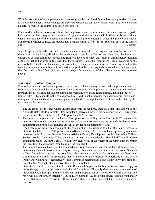With the exception of incomplete grades, a course grade is considered final unless an appropriate appeal is filed by the student. Grade changes are also considered only for those students who have not yet earned a degree for which the course in question was applied.

For a student who has reason to believe that they have been issued an incorrect or inappropriate grade, he/she must initiate a request for a change of a grade with the instructor within fifteen (15) instructional days of the first day of the semester immediately following the semester in which the grade was awarded. For Spring Semester courses, the request may be made within fifteen (15) instructional days of the start of Fall Semester.

A grade appeal is formally initiated when the student presents the Grade Appeal Form to the instructor. If there is an unsatisfactory decision, the student must consult the Department Head, and the Dean or a designated college committee, proceeding from one level to the next only after an unsatisfactory decision of the conflict at that level. In the event that the instructor is also the Department Head or Dean, he or she need only be consulted in the capacity of instructor. In the event of an unsatisfactory decision within the college, the student may submit a formal written appeal to the Grade Appeals Board Chair. Such an appeal shall be made within fifteen (15) instructional days after conclusion of the college proceedings as stated above.

#### **Non-Grade Student Complaints**

Pre-professional and professional pharmacy students who have a non-grade-related complaint can seek resolution of that complaint through the following procedures. It is important to note that these procedures represent the sole avenue for student complaints regarding non-grade-related issues, including (but not limited to) ACPE standards, policies and procedures. Additionally, because the pharmacy program spans multiple departments, the non-grade complaints are handled through the Dean's Office, rather than by the departments themselves.

- 1. The student(s) or, in cases where student anonymity is required, their advocate (also known as the "plaintiff(s)") will file a formal written complaint (delivered through the postal service or NDSU email) to the Dean's Office in the NDSU College of Health Professions.
- 2. The written complaint must include a description of the policy, procedure or ACPE standard in question. It must also summarize the argument of the plaintiff (including the grounds for the appeal or complaint) and provide a reasonable amount of evidence supporting the claim.
- 3. Upon receipt of the written complaint, the complaint will be assigned to either the Senior Associate Dean (as the Chair of the College Academic Affairs Committee) if the complaint is primarily academic in nature, or the Associate Dean for Student Affairs & Faculty Development (as the Chair of the College Student Affairs Committee) if the complaint is primarily non-academic. The plaintiff(s) will receive email notification (via NDSU email) within forty-eight hours of the receipt of the complaint concerning the identity of the Associate Dean handling the complaint.
- 4. The Senior Associate Dean (or, if a non-academic issue, Associate Dean for Student Affairs & Faculty Development) shall convene a meeting of College Academic (or, if a non-academic issue, Student) Affairs Committee to review the complaint. Because the procedures for both Associate Deans and Committees are similar in procedure, they will henceforth be referred to generically as "Associate Dean" and "Committee", respectively. The Committee meeting shall occur within thirty days from the time that the Associate Dean receives the written complaint.
- 5. Once the Committee has met, the Associate Dean shall prepare and submit a formal, written reply to the student(s) based on the recommendation of Committee. The reply shall include an evaluation of the complaint, a description of any violations, and a proposal for any necessary corrective action. The reply will be sent through official NDSU delivery methods (i.e., the postal service, campus mail and/or the NDSU email system) within fifteen business days from the time that the Committee makes a decision.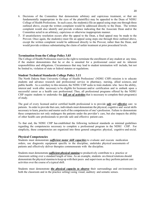7. If unsatisfactory resolution occurs after the appeal to the Dean, a final appeal may be made to the Provost. Once again, the student(s) must file an appeal using steps one through three outlined above, except the written complaint would be addressed directly to the Provost, rather than the Dean, and would provide evidence substantiating the claim of unfair treatment at prior procedural levels.

#### **Termination from the College Policy 3.03**

The College of Health Professions reserves the right to terminate the enrollment of any student at any time, if the student demonstrates that he or she is unsuited for a professional career and its inherent responsibilities and obligations. Circumstances that may lead to student termination will include, but not be limited to, violation of state or federal statutes or regulations.

#### **Student Technical Standards College Policy 3.11**

The North Dakota State University College of Health Professions' (NDSU CHP) mission is to educate students and advance research and professional service in pharmacy, nursing, allied sciences, and public health. As a corollary to this mission, the NDSU CHP seeks to train students who have the ability, interest and work ethic necessary to be eligible for licensure and/or certification and to embark upon a successful career as a health care professional. Thus, all professional programs offered by the NDSU CHP require students to undertake the *full set of activities* that is necessary to complete their program(s) of study.

The goal of every licensed and/or certified health professional is to provide *safe* and *effective* care to patients. In order to provide that care, individuals must demonstrate the physical, cognitive and social skills necessary to learn, practice and master each of the competencies of one's profession. Failure to demonstrate these competencies not only endangers the patients under the provider's care, but also impacts the ability of other health care professionals to provide safe and effective patient care.

To that end, the NDSU CHP has established the following technical standards as minimal guidelines regarding the competencies necessary to complete a professional program in the NDSU CHP. For simplicity, these competencies are organized into three general categories: physical, cognitive and social.

#### **Physical Competencies**

Students must demonstrate *sufficient motor skill capacities* to evaluate and execute medication orders, use diagnostic equipment specific to the discipline, undertake physical assessments of patients and effectively deliver therapies commensurate with the discipline.

Students must demonstrate *sufficient physical stamina* to productively contribute to a practice or classroom setting over a standard length of time. As an example, students on clinical rotations should demonstrate the physical stamina to keep up with their peers and supervisors as they perform patient care activities over the course of a typical shift.

Students must demonstrate *the physical capacity to observe* their surroundings and environment (in both the classroom and in the practice setting) using visual, auditory and somatic senses.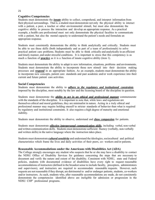#### **Cognitive Competencies**

Students must demonstrate the *innate* ability to collect, comprehend, and interpret information from their physical surroundings. That is, a student must demonstrate not only the physical ability to interact with a patient, a peer, a teacher or other environmental stimuli, but must also demonstrate the cognitive ability to process the interaction and develop an appropriate response. As a practical example, a health care professional must not only demonstrate the physical faculties to communicate with a patient, but also the mental capacity to understand the patient's needs and formulate an appropriate response.

Students must consistently demonstrate the ability to think analytically and critically. Students must be able to use these skills (both independently and as part of a team of professionals) to solve practical patient care problems. Students must be able to think critically and analytically in an efficient and timely manner, and under stressful conditions. It is important to stress that this competency is as much a function of *practice* as it is a function of innate cognitive ability (item 1).

Students must demonstrate the ability to adapt to new information, situations, problems and environments. Students must demonstrate the ability to incorporate those new stimuli into their decision making processes and *respond* in an appropriate fashion. As an example, students must demonstrate the ability to incorporate new concepts, patient care standards and past academic and/or work experience into their current and future patient care activities.

#### **Social Competencies**

Students must demonstrate the ability to *adhere to the regulatory and institutional constraints*  imposed by the discipline, most notably by the law and the licensing board of the discipline in question.

Students must demonstrate the *ability to act in an ethical and professional manner* commensurate with the standards of the discipline. It is important to note that, while laws and regulations are themselves ethical and moral guidelines, they are minimalist in nature. Acting in a truly ethical and professional manner may require holding oneself to stricter standards of behavior than what is required by regulatory and institutional constraints. It also requires a high degree of maturity and emotional stability.

Students must demonstrate the ability to observe, understand and *show compassion* for patients.

Students must demonstrate *effective interpersonal communication skills*, including verbal, non-verbal and written communication skills. Students must demonstrate sufficient fluency (verbally, non-verbally and written skills) in the native language where the instruction takes place.

Students must demonstrate *cultural sensitivity* and understand the ideologies, sociocultural and political characteristics which frame the lives and daily activities of their peers, co- workers and/or patients.

#### **Reasonable Accommodations under the Americans with Disabilities Act (ADA)**

The College strongly encourages any student who suspects that he or she may have a disability to contact the NDSU Office of Disability Services for guidance concerning the steps that are necessary to document and verify the nature and extent of the disability. Consistent with NDSU, state and Federal policies, students with documented evidence of disabilities have every right to request reasonable accommodations of instructors (defined in the broadest sense to include faculty, preceptors, administrators and supervisors), and instructors are required to accommodate reasonable requests. However, such requests are not reasonable if they disrupt, are detrimental to and/or endanger patients, students, co-workers and/or instructors. As such, students who, after reasonable accommodations are made, do not consistently demonstrate the competencies identified above are ineligible for admission or progression in the NDSU CHP' professional programs.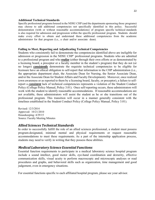#### **Additional Technical Standards**

Specific professional programs housed in the NDSU CHP (and the departments sponsoring those programs) may choose to add additional competencies not specifically identified in this policy. Successful demonstration (with or without reasonable accommodations) of program specific technical standards is also required for admission and progression within the specific professional program. Students should make every effort to obtain and understand these additional competencies from the academic administrator for that program (i.e., a chair and/or associate dean).

#### **Failing to Meet, Reporting and Adjudicating Technical Competencies**

Students who consistently fail to demonstrate the competencies identified above are ineligible for admission or progression in the NDSU CHP' professional programs. Students who are admitted to a professional program and who *realize* (either through their own efforts or as demonstrated by a licensing board, a preceptor or a faculty member in the student's program) that they do not (or no longer) *consistently* demonstrate the requisite technical competencies to be eligible for licensure have an ethical obligation to self-report that information to the CHP administration (i.e., the appropriate department chair, the Associate Dean for Nursing, the Senior Associate Dean, and/or the Associate Dean for Student Affairs and Faculty Development). Moreover, once realized (own awareness or as reported to them by a licensing board, faculty, or preceptor), a failure to selfreport a *consistent* lack of technical competencies represents a violation of the Student Conduct Policy (College Policy Manual, Policy 3.01). Once self-reporting occurs, these administrators will work with the student to identify reasonable accommodations. If reasonable accommodations are not available, these administrators will assist the student as he or she transitions out of the professional program. This transition will occur in a manner generally consistent with the timelines established in the Student Conduct Policy (College Policy Manual, Policy 3.01).

Revised: 12/3/2014 Approved: 10/21/2010 Housekeeping: 4/29/15 Source: Faculty Meeting Minutes

## *Allied Sciences Technical Standards*

In order to successfully fulfill the role of an allied sciences professional, a student must possess program-designated, minimal mental and physical requirements or request reasonable accommodations to meet these requirements. As a part of the internship application process, students may need to verify in writing that they possess these abilities.

## *Medical Laboratory Science Essential Functions*

Essential function requirements to participate in a medical laboratory science hospital program include a sound intellect, good motor skills, eye-hand coordination and dexterity, effective communication skills, visual acuity to perform macroscopic and microscopic analyses or read procedures and graphs, and behavioral skills such as organization, time management and good judgement, even in emergency situations.

For essential functions specific to each affiliated hospital program, please see your advisor.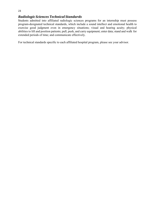#### 23

## *Radiologic Sciences Technical Standards*

Students admitted into affiliated radiologic sciences programs for an internship must possess program-designated technical standards, which include a sound intellect and emotional health to exercise good judgment even in emergency situations; visual and hearing acuity; physical abilities to lift and position patients; pull, push, and carry equipment; enter data; stand and walk for extended periods of time; and communicate effectively.

For technical standards specific to each affiliated hospital program, please see your advisor.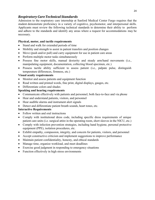## *Respiratory CareTechnical Standards*

Admission to the respiratory care internship at Sanford Medical Center Fargo requires that the student demonstrate proficiency in a variety of cognitive, psychomotor, and interpersonal skills. Applicants must review the following technical standards to determine their ability to perform and adhere to the standards and identify any areas where a request for accommodations may be necessary.

#### **Physical, motor, and tactile requirements**

- Stand and walk for extended periods of time
- Mobility and strength to assist in patient transfers and position changes
- Move (push and/or pull) and carry equipment for use in patient care areas
- Perform multiple motor tasks simultaneously
- Possess fine motor skills, manual dexterity and steady arm/hand movements (i.e., manipulating equipment, documentation, collecting blood specimen, etc.)
- Possess tactile ability sufficient to assess patient (i.e., palpate pulse, distinguish temperature differences, firmness, etc.)

#### **Visual acuity requirements**

- Monitor and assess patients and equipment function
- Read written and printed words, fine print, digital displays, gauges, etc.
- Differentiate colors and shades

#### **Speaking and hearing requirements**

- Communicate effectively with patients and personnel, both face-to-face and via phone
- Hear and understand patients, visitors, and personnel
- Hear audible alarms and instrument alert signals
- Detect and differentiate patient breath sounds, heart tones, etc.

#### **Interactive Requirements**

- Follow written and oral instructions
- Comply with institutional dress code, including specific dress requirements of unique patient care units (i.e. surgical attire in the operating room, short sleeves in the NICU, etc.)
- Comply with infection prevention strategies, including hand hygiene, personal protective equipment (PPE), isolation procedures, etc.
- Exhibit empathy, compassion, integrity, and concern for patients, visitors, and personnel
- Accept constructive criticism and implement suggestions to improve performance
- Maintain patient confidentiality, honesty, and ethical standards
- Manage time, organize workload, and meet deadlines
- Exercise good judgment in responding to emergency situations
- Function effectively in high stress environments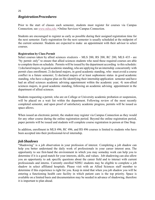## *RegistrationProcedures*

Prior to the start of classes each semester, students must register for courses via Campus Connection; see *www.ndsu.edu* >Online Services>Campus Connection.

Students are encouraged to register as early as possible during their assigned registration time for the next semester. Early registration for the next semester is usually scheduled at the midpoint of the current semester. Students are expected to make an appointment with their advisor to select courses.

#### **Registration by Class Permit**

Select courses taken by allied sciences students - MLS 200, RS 200, RC 200, MLS 435 - are "by permit only" to ensure that allied sciences students who need these required courses are able to complete them on schedule. Permits will be issued by the department according to this schedule: 1) declared majors, in good academic standing, who are applying for an internship concurrently with permit class enrollment; 2) declared majors, in good academic standing, who must avoid a course conflict in a future semester; 3) declared majors of at least sophomore status in good academic standing, who have a degree plan on file identifying their internship application semester and have had an allied sciences academic advising appointment within the academic year; 4) non-allied sciences majors, in good academic standing, following an academic advising appointment in the department of allied sciences.

Students requesting a permit, who are on College or University academic probation or suspension, will be placed on a wait list within the department. Following review of the most recently completed semester, and upon proof of satisfactory academic progress, permits will be issued as space allows.

When issued an electronic permit, the student may register via Campus Connection as they would for any other course during the online registration period. Beyond the online registration period, paper permits will be issued and students will complete course registration in person at One Stop.

In addition, enrollment in MLS 496, RC 496, and RS 496 courses is limited to students who have been accepted into their professional-level internship.

## *Job Shadows*

"Shadowing" is a job observation in your profession of interest. Completing a job shadow can help you better understand the daily work of professionals in your career interest area. The opportunity to see first-hand the environment in which you may someday work can help you to determine if it is a good match for your interests, skills, and values. Job shadowing can also allow you an opportunity to ask specific questions about the career field and to interact with current professionals and interns. Currently enrolled NDSU students may be eligible to complete a job shadow in select affiliated hospitals. Please visit with an Allied Sciences staff member to determine if this experience is right for you. Keep in mind that when you job shadow you will be entering a functioning health care facility in which patient care is the top priority. Space is available on a limited basis and documentation may be needed in advance of shadowing, therefore it is important to plan ahead.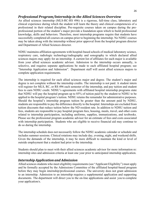## *Professional Program/Internship in the Allied Sciences Overview*

An allied sciences internship (MLS-RC-RS 496) is a rigorous, full-time class, laboratory and clinical experience during which the student will learn the theory and clinical competencies of a professional in their related discipline. Pre-requisite courses taken on campus during the preprofessional portion of the student's major provide a foundation upon which to build professional knowledge, skills and behaviors. Therefore, most internship programs require that students have successfully completed all courses on campus prior to beginning the internship. No NDSU courses may be taken along with the internship without prior approval from the hospital program director and Department of Allied Sciences director.

NDSU maintains affiliation agreements with hospital-based schools of medical laboratory science, respiratory care, radiologic technology/radiography and sonography to which declared allied sciences majors may apply for an internship. A current list of affiliates for each major is available from your allied sciences academic advisor. Admission to the internship occurs annually, is selective, and requires separate applications be made to each affiliated hospital program; see "Internship Application and Admission". Department staff will assist allied sciences majors to complete application requirements.

The internship is required for each allied sciences major and degree. The student's major and degree is not complete without the internship credits. The internship is not paid. A student intern will register for MLS, RC, or RS 496 each semester of the internship, and pay tuition and student fees to earn NDSU credit. NDSU's agreements with affiliated hospital internship programs state that NDSU will pay the hospital program up to 85% of tuition paid by the student to NDSU to be applied to the hospital program's tuition. NDSU retains the remainder for administrative purposes. Should the hospital's internship program tuition be greater than the amount paid by NDSU, students are responsible to pay the difference directly to the hospital. Internships are excluded from tuition discounts that reduce tuition below the ND resident rate. In addition to NDSU tuition and fees, students are responsible to pay hospital program fees, housing, meals, travel, and other costs related to internship participation, including uniforms, supplies, immunizations, and textbooks. Please see the professional program academic advisor for an estimate of fees and costs associated with internship participation. Students who are eligible to receive financial aid may continue to do so during the internship.

The internship schedule does not necessarily follow the NDSU academic calendar or schedule and includes summer sessions. Clinical rotations may include day, evening, night, and weekend shifts. Given the demands of the internship, it may be more difficult to maintain the kind or level of outside employment that a student had prior to the internship.

Students should plan to meet with their allied sciences academic advisor for more information re: internship sites and admission criteria at least one year prior to anticipated internship application.

## *Internship Application and Admission*

Allied sciences students who meet eligibility requirements (see "Applicant Eligibility") must apply and be formally accepted by the Admissions Committee of the affiliated hospital-based program before they may begin internship/professional courses. The university does not grant admission to an internship. Admission to an internship requires a supplemental application and supporting documents. The department will direct you to the on-line applications and assist you to complete your application/s.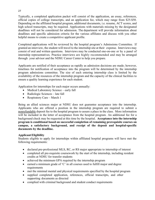Typically, a completed application packet will consist of the application, an essay, references, official copies of college transcripts, and an application fee, which may range from \$25-\$50. Depending on the affiliated hospital program, additional documents, i.e. resume, ACT scores, and high school transcripts, may be required. Applications with materials missing by the designated deadlines will not be considered for admission. The department will provide information about deadlines and specific admission criteria for the various affiliates and discuss with you other helpful means to create a competitive applicant profile.

Completed applications will be reviewed by the hospital program's Admissions Committee. If granted an interview, the student will travel to the internship site at their expense. Interviews may consist of oral and written questions. Interviews may be conducted one-on-one or by a panel of internship representatives. Practice interviews are highly recommended and may be arranged through your advisor and the NDSU Career Center to help you prepare.

Applicants are notified of their acceptance as rapidly as admission decisions are made; however, timelines for notification of acceptance into the program will be determined by the internship program admissions committee. The size of each entering internship class is limited by the availability of the resources of the internship program and the capacity of the clinical facilities to ensure a quality learning experience for each student.

Application for internships for each major occurs annually:

- Medical Laboratory Science early fall
- Radiologic Sciences late fall
- Respiratory Care March 1

Being an allied sciences major at NDSU does not guarantee acceptance into the internship. Applicants who are offered a position in the internship program are required to submit a nonrefundable deposit fee to the hospital program to assure a place in the class. More information will be included in the letter of acceptance from the hospital program. An additional fee for a background check may be requested at this time by the hospital. **Acceptance into the internship program is conditional based on successful completion of remaining prerequisite courses on campus, a satisfactory background, and receipt of the deposit and hospital-specific documents by the deadline.**

#### **Applicant Eligibility**

Students eligible to apply for internships within affiliated hospital programs will have met the following requirements:

- declared pre-professional MLS, RC, or RS major appropriate to internship of interest
- completed all pre-requisite coursework by the start of the internship, including resident credits at NDSU for transfer students
- achieved the minimum GPA required by the internship program
- $\bullet$  earned a minimum grade of 'C' in all courses used to fulfill major and degree requirements
- met the minimal mental and physical requirements specified by the hospital program
- supplied completed application, references, official transcripts, and other supporting documents as directed
- complied with criminal background and student conduct requirements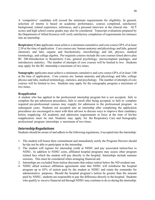A 'competitive' candidate will exceed the minimum requirements for eligibility. In general, selection of interns is based on academic performance, courses completed, satisfactory background, related experience, references, and a personal interview at the clinical site. ACT scores and high school course grades may also be considered. Transcript evaluations prepared by the Department of Allied Sciences will verify satisfactory completion of requirements for entrance into an internship.

**Respiratory Care** applicants must achieve a minimum cumulative and core course GPA of at least 2.50 at the time of application. Core courses are: human anatomy and physiology and labs, general chemistry and labs, organic and biochemistry, microbiology and lab, physics, medical terminology, and college algebra. Pre-requisite courses include the core courses listed above plus RC 200-Introduction to Respiratory Care, general psychology, microcomputer packages, and introductory statistics. The number of attempts of core courses will be limited to two. Students may apply for the RC internship a maximum of two times.

**Sonography** applicants must achieve a minimum cumulative and core course GPA of at least 3.00 at the time of application. Core courses are: human anatomy and physiology and labs, college physics and labs, medical terminology, statistics, and psychology. The number of attempts of core courses will be limited to two. Students may apply for the sonography program a maximum of two times.

#### **Reapplication**

A student who has applied to the professional internship program but is not accepted, fails to complete the pre-admission procedures, fails to enroll after being accepted, or fails to complete required pre-professional courses may reapply for admission to the professional program in subsequent years. Students not accepted into an internship after completing the application procedures are encouraged to meet with their advisor to discuss ways to improve their candidacy before reapplying. All academic and admission requirements in force at the time of his/her reapplication must be met. Students may apply for the Respiratory Care and Sonography professional program internships a maximum of two times.

## *InternshipRegulations*

Students should be aware of and adhere to the following regulations, if accepted into the internship:

- 1. The student will honor their commitment and immediately notify the Program Director should he/she not be able to participate in the internship.
- 2. The student will register for internship credit at NDSU and pay associated tuition/fees to NDSU. In addition to NDSU costs, affiliated hospital programs may assess other program related fees which the student will pay directly to the hospital. Internships include summer sessions. This must be considered when arranging financial aid.
- 3. Internships are excluded from tuition discounts that reduce tuition below the ND resident rate.
- 4. NDSU allied sciences affiliation agreements state that NDSU will reimburse the hospital program up to 85% of tuition paid by the student to NDSU and retain the remainder for administrative purposes. Should the hospital program's tuition be greater than the amount paid by NDSU, students are responsible to pay the difference directly to the hospital. Students who qualify to receive financial aid through NDSU may continue to do so during the internship.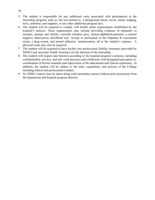- 5. The student is responsible for any additional costs associated with participation in the internship program, such as, but not limited to, a background check, travel, meals, lodging, texts, uniforms, and supplies, or any other additional program fees.
- 6. The student will be required to comply with health status requirements established by the hospital's policies. These requirements may include providing evidence of immunity to measles, mumps and rubella, varicella (chicken pox), tetanus-diphtheria-pertussis, a current negative tuberculosis skin/blood test, receipt or declination of the Hepatitis B vaccination series, a drug screen, and annual influenza immunization, all at the student's expense. A physical exam may also be required.
- 7. The student will be required to have his/her own professional liability insurance (provided by NDSU) and personal health insurance for the duration of the internship.
- 8. The student will respect and function according to the hospital program's policies, including confidentiality, privacy, and safe work practices and collaborate with designated preceptors re: coordination of his/her schedule and supervision of the educational and clinical experience. In addition, the student will be subject to the rules, regulations, and policies of the College including ethical and professional conduct.
- 9. No NDSU courses may be taken along with internship courses without prior permission from the department and hospital program director.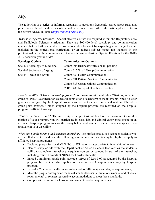*FAQs*

The following is a series of informal responses to questions frequently asked about rules and procedures at NDSU within the College and department. For further information, please refer to the current NDSU Bulletin (*https://bulletin.ndsu.edu*/).

*What is a "Special Elective"?* Special elective courses are required within the Respiratory Care and Radiologic Sciences curriculum. They are 300-400 level sociology and communication courses that 1) further a student's professional development by expanding upon subject matter included in the professional curriculum, or 2) address subject matter not included in the professional curriculum but relevant to the health care profession. Special Electives for the 2018- 2019 academic year include:

| <b>Sociology Options:</b>     | <b>Communication Options:</b>                   |
|-------------------------------|-------------------------------------------------|
| Soc 426 Sociology of Medicine | Comm 308 Business/Professional Speaking         |
| Soc 440 Sociology of Aging    | Comm 315 Small Group Communication              |
| Soc 441 Death and Dying       | Comm 380 Health Communication I                 |
|                               | Comm 381 Patient/Provider Communication         |
|                               | Comm 383 Organizational Communication           |
|                               | 400 Interprof Healthcare Practice<br><b>CHP</b> |

*How is the Allied Sciences internship graded?* For programs with multiple affiliations, an NDSU grade of "Pass" is awarded for successful completion of each term of the internship. Specific letter grades are assigned by the hospital program and are not included in the calculation of NDSU's grade-point average. Grades assigned by the hospital program are recorded on the hospital program's official transcript.

*What is the "internship"?* The internship is the professional level of the program. During this portion of your program, you will participate in class, lab, and clinical experiences onsite in an affiliated hospital program to learn the theory behind and practice the competencies expected of a graduate in your discipline.

*When can I apply for an allied sciences internship?* Pre-professional allied sciences students who are enrolled at NDSU and meet the following admission requirements may be eligible to apply to affiliated hospital programs:

- Declared pre-professional MLS, RC, or RS major, as appropriate to internship of interest;
- Plan of study on file with the Department of Allied Sciences that verifies the student's ability to complete internship prerequisite courses on campus by start of the internship, including resident credits at NDSU for transfer students;
- Earned a minimum grade point average (GPA) of 2.50-3.00 as required by the hospital program by the internship application deadline. GPA requirements vary by hospital program;
- Earned a C or better in all courses to be used to fulfill major and degree requirements;
- Meet the program-designated technical standards/essential functions (mental and physical requirements) or request reasonable accommodations to meet these standards;
- Comply with criminal background and student conduct requirements.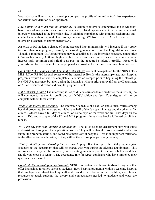Your advisor will assist you to develop a competitive profile of in- and out-of-class experiences for serious consideration as an applicant.

*How difficult is it to get into an internship?* Selection of interns is competitive and is typically based on academic performance, courses completed, related experience, references, and a personal interview conducted at the internship site. In addition, compliance with criminal background and conduct standards is required. The three-year average (2016-2018) for Allied Sciences internship placement is approximately 87%.

An MLS or RS student's chance of being accepted into an internship will increase if they apply to more than one program, possibly necessitating relocation from the Fargo-Moorhead area. Though a minimum GPA requirement may be established by the internship program, competitive GPAs are historically 3.00 and higher. Related work and/or volunteer experience has become increasingly common and valuable as part of the accepted student's profile. Meet with your advisor for assistance to be as prepared as possible for the internship selection process.

*Can I take NDSU classes while I am in the internship?* You will be registered for the NDSU class MLS, RC, or RS 496 for each semester of the internship. Besides the internship class, most hospital programs require that students complete all courses on campus prior to beginning the internship. No NDSU courses may be taken during the internship without prior approval from the Department of Allied Sciences director and hospital program director.

*Is the internship paid?* The internship is not paid. You earn academic credit for the internship, so will continue to register for credit and pay NDSU tuition and fees. Your degree will not be complete without these credits.

*What is the internship schedule?* The internship schedule of class, lab and clinical varies among hospital programs. Some programs might have half of the day spent in class and the other half in clinical. Others have a full day of clinical on some days of the week and full class days on the others. RC, and a couple of the RS and MLS programs, have class blocks followed by clinical blocks.

*Will I get any help with internship application?* The allied sciences department staff will guide and assist you throughout the application process. They will explain the process, assist students to submit the proper materials, and coordinate interviews at hospitals. This is an important milestone in the allied sciences education, so they will be there to support you along the way.

*What if I don't get an internship the first time I apply?* If not accepted, hospital programs give feedback to the department that will be shared with you during an advising appointment. This information is very helpful to assist you in creating an action plan to become a better candidate should you choose to reapply. The acceptance rate for repeat applicants who have improved their qualifications is excellent.

*Could I do the internship in any hospital?* NDSU has contracts with hospital-based programs that offer internships for allied sciences students. Each hospital program is within a teaching hospital that employs specialized teaching staff and provides the classroom, lab facilities, and clinical resources to teach students the theory and competencies needed to graduate and enter the profession.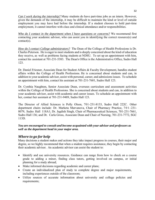*Can I work during the internship?* Many students do have part-time jobs as an intern. However, given the demands of the internship, it may be difficult to maintain the kind or level of outside employment you may have had before the internship. If a student chooses to hold part-time employment, it cannot interfere with class and clinical attendance and/or responsibilities.

*Who do I contact in the department when I have questions or concerns?* We recommend first contacting your academic advisor, who can assist you in identifying the correct resource(s) and contact(s).

*How do I contact College administrators?* The Dean of the College of Health Professions is Dr. Charles Peterson. He is eager to meet students and is deeply concerned about the kind of education they receive, as well as problems facing students at NDSU. To set up an appointment with him, contact his assistant at 701-231-5383. The Dean's Office is the Administrative Office, Sudro Hall 123.

Dr. Daniel Friesner, Associate Dean for Student Affairs & Faculty Development, handles student affairs within the College of Health Professions. He is concerned about students and can, in addition to your academic advisor, assist with personal, career, and admissions issues. To schedule an appointment with him, contact his assistant at 701-231-7601, Sudro Hall 123.

Dr. Cynthia Naughton, Senior Associate Dean, oversees curriculum and assessment activities within the College of Health Professions. She is concerned about students and can, in addition to your academic advisor, assist with academic and career issues. To schedule an appointment with her, contact her assistant at 701-231-9489, Sudro Hall 123.

The Director of Allied Sciences is Polly Olson, 701-231-8133, Sudro Hall 222C. Other department chairs include: Dr. Marketa Marvanova, Chair of Pharmacy Practice, 7 0 1 - 231- 8079, Sudro Hall 118A1; Dr. Jagdish Singh, Chair of Pharmaceutical Sciences, 701-231-7661, Sudro Hall 136; and Dr. Carla Gross, Associate Dean and Chair of Nursing, 701-231-7772, SGC 113D.

## *You are encouraged to consult and become acquainted with your advisor and professors as well as the department head in your major area.*

## *Where to go for help*

Many decisions a student makes and actions they take impact progress in courses, their major and degree, so we highly recommend that when a student requires assistance, they begin by contacting their academic advisor. An academic advisor can assist the student to:

- Identify and use university resources. Guidance can range from how to check on a course grade to adding a minor, finding class tutors, getting involved on campus, or initial planning for a study abroad;
- Make informed decisions regarding academic and career plans;
- Create an individualized plan of study to complete degree and major requirements, including experiences outside of the classroom;
- Utilize sources of accurate information about university and college policies and requirements;